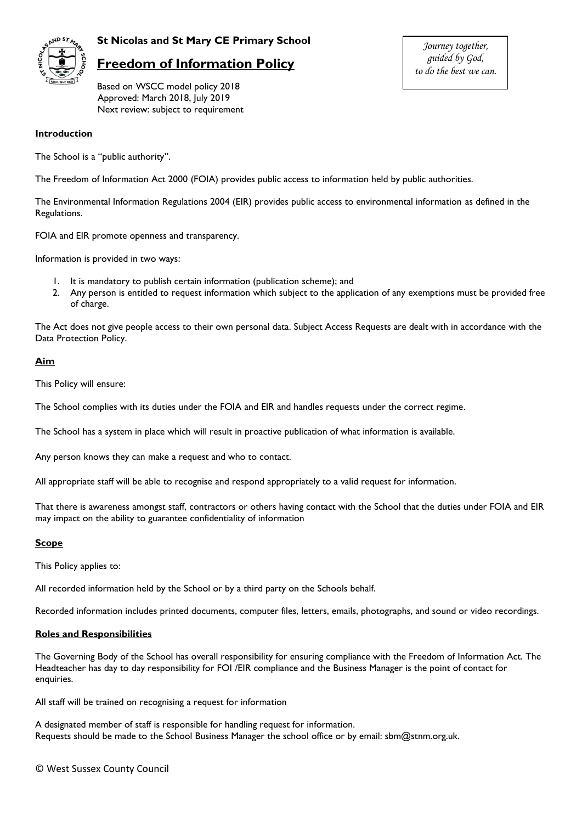

## **St Nicolas and St Mary CE Primary School**

# **Freedom of Information Policy**

Based on WSCC model policy 2018 Approved: March 2018, July 2019 Next review: subject to requirement

#### **Introduction**

The School is a "public authority".

The Freedom of Information Act 2000 (FOIA) provides public access to information held by public authorities.

The Environmental Information Regulations 2004 (EIR) provides public access to environmental information as defined in the Regulations.

FOIA and EIR promote openness and transparency.

Information is provided in two ways:

- 1. It is mandatory to publish certain information (publication scheme); and
- 2. Any person is entitled to request information which subject to the application of any exemptions must be provided free of charge.

The Act does not give people access to their own personal data. Subject Access Requests are dealt with in accordance with the Data Protection Policy.

## **Aim**

This Policy will ensure:

The School complies with its duties under the FOIA and EIR and handles requests under the correct regime.

The School has a system in place which will result in proactive publication of what information is available.

Any person knows they can make a request and who to contact.

All appropriate staff will be able to recognise and respond appropriately to a valid request for information.

That there is awareness amongst staff, contractors or others having contact with the School that the duties under FOIA and EIR may impact on the ability to guarantee confidentiality of information

## **Scope**

This Policy applies to:

All recorded information held by the School or by a third party on the Schools behalf.

Recorded information includes printed documents, computer files, letters, emails, photographs, and sound or video recordings.

## **Roles and Responsibilities**

The Governing Body of the School has overall responsibility for ensuring compliance with the Freedom of Information Act. The Headteacher has day to day responsibility for FOI /EIR compliance and the Business Manager is the point of contact for enquiries.

All staff will be trained on recognising a request for information

A designated member of staff is responsible for handling request for information. Requests should be made to the School Business Manager the school office or by email: sbm@stnm.org.uk.

*Journey together, guided by God, to do the best we can.*